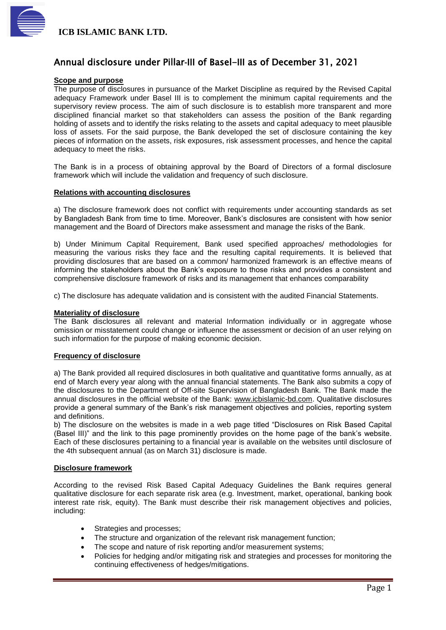

### Annual disclosure under Pillar**‐**III of Basel-III as of December 31, 2021

#### **Scope and purpose**

The purpose of disclosures in pursuance of the Market Discipline as required by the Revised Capital adequacy Framework under Basel III is to complement the minimum capital requirements and the supervisory review process. The aim of such disclosure is to establish more transparent and more disciplined financial market so that stakeholders can assess the position of the Bank regarding holding of assets and to identify the risks relating to the assets and capital adequacy to meet plausible loss of assets. For the said purpose, the Bank developed the set of disclosure containing the key pieces of information on the assets, risk exposures, risk assessment processes, and hence the capital adequacy to meet the risks.

The Bank is in a process of obtaining approval by the Board of Directors of a formal disclosure framework which will include the validation and frequency of such disclosure.

#### **Relations with accounting disclosures**

a) The disclosure framework does not conflict with requirements under accounting standards as set by Bangladesh Bank from time to time. Moreover, Bank's disclosures are consistent with how senior management and the Board of Directors make assessment and manage the risks of the Bank.

b) Under Minimum Capital Requirement, Bank used specified approaches/ methodologies for measuring the various risks they face and the resulting capital requirements. It is believed that providing disclosures that are based on a common/ harmonized framework is an effective means of informing the stakeholders about the Bank's exposure to those risks and provides a consistent and comprehensive disclosure framework of risks and its management that enhances comparability

c) The disclosure has adequate validation and is consistent with the audited Financial Statements.

#### **Materiality of disclosure**

The Bank disclosures all relevant and material Information individually or in aggregate whose omission or misstatement could change or influence the assessment or decision of an user relying on such information for the purpose of making economic decision.

#### **Frequency of disclosure**

a) The Bank provided all required disclosures in both qualitative and quantitative forms annually, as at end of March every year along with the annual financial statements. The Bank also submits a copy of the disclosures to the Department of Off-site Supervision of Bangladesh Bank. The Bank made the annual disclosures in the official website of the Bank: [www.icbislamic-bd.com.](http://www.icbislamic-bd.com/) Qualitative disclosures provide a general summary of the Bank's risk management objectives and policies, reporting system and definitions.

b) The disclosure on the websites is made in a web page titled "Disclosures on Risk Based Capital (Basel III)" and the link to this page prominently provides on the home page of the bank's website. Each of these disclosures pertaining to a financial year is available on the websites until disclosure of the 4th subsequent annual (as on March 31) disclosure is made.

#### **Disclosure framework**

According to the revised Risk Based Capital Adequacy Guidelines the Bank requires general qualitative disclosure for each separate risk area (e.g. Investment, market, operational, banking book interest rate risk, equity). The Bank must describe their risk management objectives and policies, including:

- Strategies and processes;
- The structure and organization of the relevant risk management function;
- The scope and nature of risk reporting and/or measurement systems;
- Policies for hedging and/or mitigating risk and strategies and processes for monitoring the continuing effectiveness of hedges/mitigations.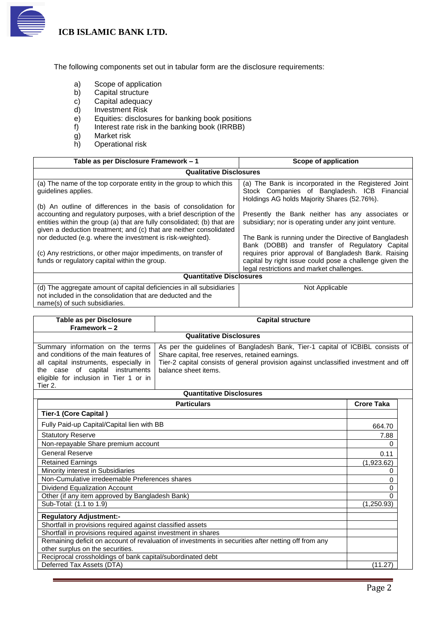

The following components set out in tabular form are the disclosure requirements:

- a) Scope of application
- b) Capital structure
- c) Capital adequacy
- d) Investment Risk<br>e) Equities: disclose
- e) Equities: disclosures for banking book positions<br>f) Interest rate risk in the banking book (IRRBB)
- Interest rate risk in the banking book (IRRBB)
- g) Market risk
- h) Operational risk

| Table as per Disclosure Framework - 1                                                                                                                                                                                                                                                   | Scope of application                                                                                                                                        |  |
|-----------------------------------------------------------------------------------------------------------------------------------------------------------------------------------------------------------------------------------------------------------------------------------------|-------------------------------------------------------------------------------------------------------------------------------------------------------------|--|
| <b>Qualitative Disclosures</b>                                                                                                                                                                                                                                                          |                                                                                                                                                             |  |
| (a) The name of the top corporate entity in the group to which this<br>quidelines applies.                                                                                                                                                                                              | (a) The Bank is incorporated in the Registered Joint<br>Stock Companies of Bangladesh. ICB Financial<br>Holdings AG holds Majority Shares (52.76%).         |  |
| (b) An outline of differences in the basis of consolidation for<br>accounting and regulatory purposes, with a brief description of the<br>entities within the group (a) that are fully consolidated; (b) that are<br>given a deduction treatment; and (c) that are neither consolidated | Presently the Bank neither has any associates or<br>subsidiary; nor is operating under any joint venture.                                                   |  |
| nor deducted (e.g. where the investment is risk-weighted).                                                                                                                                                                                                                              | The Bank is running under the Directive of Bangladesh<br>Bank (DOBB) and transfer of Regulatory Capital                                                     |  |
| (c) Any restrictions, or other major impediments, on transfer of<br>funds or regulatory capital within the group.                                                                                                                                                                       | requires prior approval of Bangladesh Bank. Raising<br>capital by right issue could pose a challenge given the<br>legal restrictions and market challenges. |  |
| <b>Quantitative Disclosures</b>                                                                                                                                                                                                                                                         |                                                                                                                                                             |  |
| (d) The aggregate amount of capital deficiencies in all subsidiaries<br>not included in the consolidation that are deducted and the                                                                                                                                                     | Not Applicable                                                                                                                                              |  |

name(s) of such subsidiaries.

| Table as per Disclosure<br>Framework - 2                                                                                                                                                                                                                                                                                                                                                                                                                           | <b>Capital structure</b>                                                                            |                   |
|--------------------------------------------------------------------------------------------------------------------------------------------------------------------------------------------------------------------------------------------------------------------------------------------------------------------------------------------------------------------------------------------------------------------------------------------------------------------|-----------------------------------------------------------------------------------------------------|-------------------|
|                                                                                                                                                                                                                                                                                                                                                                                                                                                                    | <b>Qualitative Disclosures</b>                                                                      |                   |
| Summary information on the terms<br>As per the guidelines of Bangladesh Bank, Tier-1 capital of ICBIBL consists of<br>and conditions of the main features of<br>Share capital, free reserves, retained earnings.<br>Tier-2 capital consists of general provision against unclassified investment and off<br>all capital instruments, especially in<br>the case of capital instruments<br>balance sheet items.<br>eligible for inclusion in Tier 1 or in<br>Tier 2. |                                                                                                     |                   |
|                                                                                                                                                                                                                                                                                                                                                                                                                                                                    | <b>Quantitative Disclosures</b>                                                                     |                   |
|                                                                                                                                                                                                                                                                                                                                                                                                                                                                    | <b>Particulars</b>                                                                                  | <b>Crore Taka</b> |
| Tier-1 (Core Capital)                                                                                                                                                                                                                                                                                                                                                                                                                                              |                                                                                                     |                   |
| Fully Paid-up Capital/Capital lien with BB                                                                                                                                                                                                                                                                                                                                                                                                                         |                                                                                                     | 664.70            |
| <b>Statutory Reserve</b>                                                                                                                                                                                                                                                                                                                                                                                                                                           |                                                                                                     | 7.88              |
| Non-repayable Share premium account                                                                                                                                                                                                                                                                                                                                                                                                                                |                                                                                                     | 0                 |
| <b>General Reserve</b>                                                                                                                                                                                                                                                                                                                                                                                                                                             |                                                                                                     | 0.11              |
| <b>Retained Earnings</b>                                                                                                                                                                                                                                                                                                                                                                                                                                           |                                                                                                     | (1,923.62)        |
| Minority interest in Subsidiaries                                                                                                                                                                                                                                                                                                                                                                                                                                  |                                                                                                     | 0                 |
| Non-Cumulative irredeemable Preferences shares                                                                                                                                                                                                                                                                                                                                                                                                                     |                                                                                                     | 0                 |
| Dividend Equalization Account                                                                                                                                                                                                                                                                                                                                                                                                                                      |                                                                                                     | 0                 |
| Other (if any item approved by Bangladesh Bank)                                                                                                                                                                                                                                                                                                                                                                                                                    |                                                                                                     | O                 |
| Sub-Total: (1.1 to 1.9)                                                                                                                                                                                                                                                                                                                                                                                                                                            |                                                                                                     | (1,250.93)        |
| <b>Regulatory Adjustment:-</b>                                                                                                                                                                                                                                                                                                                                                                                                                                     |                                                                                                     |                   |
| Shortfall in provisions required against classified assets                                                                                                                                                                                                                                                                                                                                                                                                         |                                                                                                     |                   |
| Shortfall in provisions required against investment in shares                                                                                                                                                                                                                                                                                                                                                                                                      |                                                                                                     |                   |
|                                                                                                                                                                                                                                                                                                                                                                                                                                                                    | Remaining deficit on account of revaluation of investments in securities after netting off from any |                   |
| other surplus on the securities.                                                                                                                                                                                                                                                                                                                                                                                                                                   |                                                                                                     |                   |
| Reciprocal crossholdings of bank capital/subordinated debt                                                                                                                                                                                                                                                                                                                                                                                                         |                                                                                                     |                   |

Deferred Tax Assets (DTA) (11.27)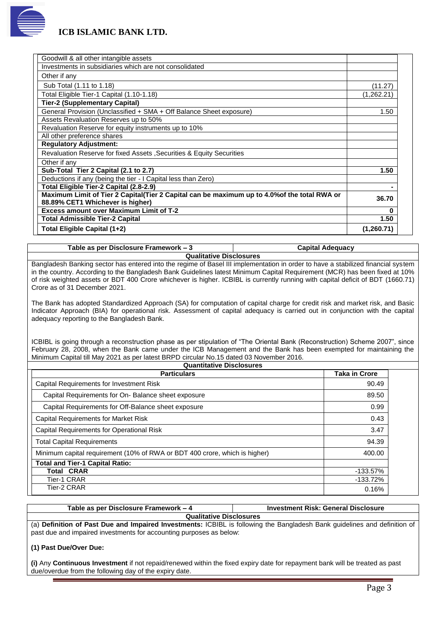

| Goodwill & all other intangible assets                                                       |            |
|----------------------------------------------------------------------------------------------|------------|
| Investments in subsidiaries which are not consolidated                                       |            |
| Other if any                                                                                 |            |
| Sub Total (1.11 to 1.18)                                                                     | (11.27)    |
| Total Eligible Tier-1 Capital (1.10-1.18)                                                    | (1,262.21) |
| <b>Tier-2 (Supplementary Capital)</b>                                                        |            |
| General Provision (Unclassified + SMA + Off Balance Sheet exposure)                          | 1.50       |
| Assets Revaluation Reserves up to 50%                                                        |            |
| Revaluation Reserve for equity instruments up to 10%                                         |            |
| All other preference shares                                                                  |            |
| <b>Regulatory Adjustment:</b>                                                                |            |
| Revaluation Reserve for fixed Assets, Securities & Equity Securities                         |            |
| Other if any                                                                                 |            |
| Sub-Total Tier 2 Capital (2.1 to 2.7)                                                        | 1.50       |
| Deductions if any (being the tier - I Capital less than Zero)                                |            |
| Total Eligible Tier-2 Capital (2.8-2.9)                                                      |            |
| Maximum Limit of Tier 2 Capital(Tier 2 Capital can be maximum up to 4.0% of the total RWA or | 36.70      |
| 88.89% CET1 Whichever is higher)                                                             |            |
| <b>Excess amount over Maximum Limit of T-2</b>                                               | O          |
| <b>Total Admissible Tier-2 Capital</b>                                                       | 1.50       |
| Total Eligible Capital (1+2)                                                                 | (1,260.71) |

**Table as per Disclosure Framework – 3 Capital Adequacy**

**Qualitative Disclosures**

Bangladesh Banking sector has entered into the regime of Basel III implementation in order to have a stabilized financial system in the country. According to the Bangladesh Bank Guidelines latest Minimum Capital Requirement (MCR) has been fixed at 10% of risk weighted assets or BDT 400 Crore whichever is higher. ICBIBL is currently running with capital deficit of BDT (1660.71) Crore as of 31 December 2021.

The Bank has adopted Standardized Approach (SA) for computation of capital charge for credit risk and market risk, and Basic Indicator Approach (BIA) for operational risk. Assessment of capital adequacy is carried out in conjunction with the capital adequacy reporting to the Bangladesh Bank.

ICBIBL is going through a reconstruction phase as per stipulation of "The Oriental Bank (Reconstruction) Scheme 2007", since February 28, 2008, when the Bank came under the ICB Management and the Bank has been exempted for maintaining the Minimum Capital till May 2021 as per latest BRPD circular No.15 dated 03 November 2016.

| <b>Quantitative Disclosures</b><br><b>Taka in Crore</b><br><b>Particulars</b> |             |  |  |  |
|-------------------------------------------------------------------------------|-------------|--|--|--|
| Capital Requirements for Investment Risk                                      | 90.49       |  |  |  |
| Capital Requirements for On- Balance sheet exposure                           | 89.50       |  |  |  |
| Capital Requirements for Off-Balance sheet exposure                           | 0.99        |  |  |  |
| <b>Capital Requirements for Market Risk</b>                                   | 0.43        |  |  |  |
| <b>Capital Requirements for Operational Risk</b>                              | 3.47        |  |  |  |
| <b>Total Capital Requirements</b>                                             | 94.39       |  |  |  |
| Minimum capital requirement (10% of RWA or BDT 400 crore, which is higher)    | 400.00      |  |  |  |
| <b>Total and Tier-1 Capital Ratio:</b>                                        |             |  |  |  |
| <b>Total CRAR</b>                                                             | $-133.57\%$ |  |  |  |
| Tier-1 CRAR                                                                   | $-133.72%$  |  |  |  |
| Tier-2 CRAR                                                                   | 0.16%       |  |  |  |

**Table as per Disclosure Framework – 4 Investment Risk: General Disclosure Qualitative Disclosures** (a) **Definition of Past Due and Impaired Investments:** ICBIBL is following the Bangladesh Bank guidelines and definition of past due and impaired investments for accounting purposes as below:

#### **(1) Past Due/Over Due:**

**(i)** Any **Continuous Investment** if not repaid/renewed within the fixed expiry date for repayment bank will be treated as past due/overdue from the following day of the expiry date.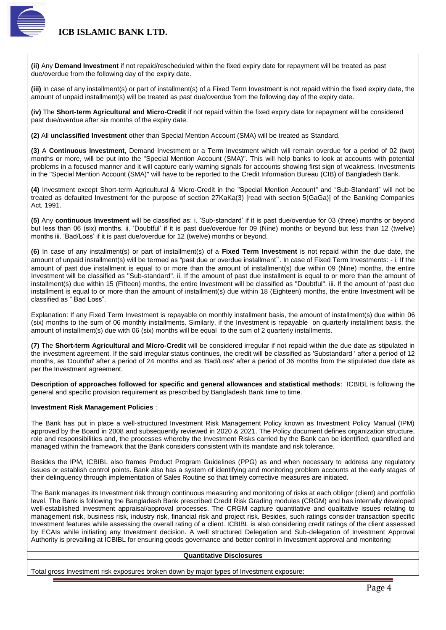

**(ii)** Any **Demand Investment** if not repaid/rescheduled within the fixed expiry date for repayment will be treated as past due/overdue from the following day of the expiry date.

**(iii)** In case of any installment(s) or part of installment(s) of a Fixed Term Investment is not repaid within the fixed expiry date, the amount of unpaid installment(s) will be treated as past due/overdue from the following day of the expiry date.

**(iv)** The **Short-term Agricultural and Micro-Credit** if not repaid within the fixed expiry date for repayment will be considered past due/overdue after six months of the expiry date.

**(2)** All **unclassified Investment** other than Special Mention Account (SMA) will be treated as Standard.

**(3)** A **Continuous Investment**, Demand Investment or a Term Investment which will remain overdue for a period of 02 (two) months or more, will be put into the "Special Mention Account (SMA)". This will help banks to look at accounts with potential problems in a focused manner and it will capture early warning signals for accounts showing first sign of weakness. Investments in the "Special Mention Account (SMA)" will have to be reported to the Credit Information Bureau (CIB) of Bangladesh Bank.

**(4)** Investment except Short-term Agricultural & Micro-Credit in the "Special Mention Account" and "Sub-Standard" will not be treated as defaulted Investment for the purpose of section 27KaKa(3) [read with section 5(GaGa)] of the Banking Companies Act, 1991.

**(5)** Any **continuous Investment** will be classified as: i. 'Sub-standard' if it is past due/overdue for 03 (three) months or beyond but less than 06 (six) months. ii. 'Doubtful' if it is past due/overdue for 09 (Nine) months or beyond but less than 12 (twelve) months iii. 'Bad/Loss' if it is past due/overdue for 12 (twelve) months or beyond.

**(6)** In case of any installment(s) or part of installment(s) of a **Fixed Term Investment** is not repaid within the due date, the amount of unpaid installment(s) will be termed as "past due or overdue installment". In case of Fixed Term Investments: - i. If the amount of past due installment is equal to or more than the amount of installment(s) due within 09 (Nine) months, the entire Investment will be classified as ''Sub-standard''. ii. If the amount of past due installment is equal to or more than the amount of installment(s) due within 15 (Fifteen) months, the entire Investment will be classified as ''Doubtful". iii. If the amount of 'past due installment is equal to or more than the amount of installment(s) due within 18 (Eighteen) months, the entire Investment will be classified as " Bad Loss".

Explanation: If any Fixed Term Investment is repayable on monthly installment basis, the amount of installment(s) due within 06 (six) months to the sum of 06 monthly installments. Similarly, if the Investment is repayable on quarterly installment basis, the amount of installment(s) due with 06 (six) months will be equal to the sum of 2 quarterly installments.

**(7)** The **Short-term Agricultural and Micro-Credit** will be considered irregular if not repaid within the due date as stipulated in the investment agreement. If the said irregular status continues, the credit will be classified as 'Substandard ' after a period of 12 months, as 'Doubtful' after a period of 24 months and as 'Bad/Loss' after a period of 36 months from the stipulated due date as per the Investment agreement.

**Description of approaches followed for specific and general allowances and statistical methods**: ICBIBL is following the general and specific provision requirement as prescribed by Bangladesh Bank time to time.

#### **Investment Risk Management Policies** :

The Bank has put in place a well‐structured Investment Risk Management Policy known as Investment Policy Manual (IPM) approved by the Board in 2008 and subsequently reviewed in 2020 & 2021. The Policy document defines organization structure, role and responsibilities and, the processes whereby the Investment Risks carried by the Bank can be identified, quantified and managed within the framework that the Bank considers consistent with its mandate and risk tolerance.

Besides the IPM, ICBIBL also frames Product Program Guidelines (PPG) as and when necessary to address any regulatory issues or establish control points. Bank also has a system of identifying and monitoring problem accounts at the early stages of their delinquency through implementation of Sales Routine so that timely corrective measures are initiated.

The Bank manages its Investment risk through continuous measuring and monitoring of risks at each obligor (client) and portfolio level. The Bank is following the Bangladesh Bank prescribed Credit Risk Grading modules (CRGM) and has internally developed well-established Investment appraisal/approval processes. The CRGM capture quantitative and qualitative issues relating to management risk, business risk, industry risk, financial risk and project risk. Besides, such ratings consider transaction specific Investment features while assessing the overall rating of a client. ICBIBL is also considering credit ratings of the client assessed by ECAIs while initiating any Investment decision. A well structured Delegation and Sub-delegation of Investment Approval Authority is prevailing at ICBIBL for ensuring goods governance and better control in Investment approval and monitoring

#### **Quantitative Disclosures**

Total gross Investment risk exposures broken down by major types of Investment exposure: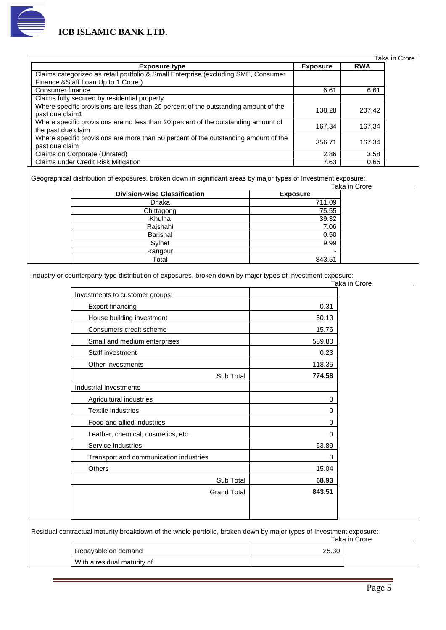

|                    |                                                                                                                                                        |                 |                 | Taka in Crore |
|--------------------|--------------------------------------------------------------------------------------------------------------------------------------------------------|-----------------|-----------------|---------------|
|                    | <b>Exposure type</b>                                                                                                                                   |                 | <b>Exposure</b> | <b>RWA</b>    |
|                    | Claims categorized as retail portfolio & Small Enterprise (excluding SME, Consumer<br>Finance & Staff Loan Up to 1 Crore)                              |                 |                 |               |
| Consumer finance   |                                                                                                                                                        |                 | 6.61            | 6.61          |
|                    | Claims fully secured by residential property                                                                                                           |                 |                 |               |
| past due claim1    | Where specific provisions are less than 20 percent of the outstanding amount of the                                                                    |                 | 138.28          | 207.42        |
| the past due claim | Where specific provisions are no less than 20 percent of the outstanding amount of                                                                     |                 | 167.34          | 167.34        |
| past due claim     | Where specific provisions are more than 50 percent of the outstanding amount of the                                                                    |                 | 356.71          | 167.34        |
|                    | Claims on Corporate (Unrated)                                                                                                                          |                 | 2.86            | 3.58          |
|                    | Claims under Credit Risk Mitigation                                                                                                                    |                 | 7.63            | 0.65          |
|                    | Geographical distribution of exposures, broken down in significant areas by major types of Investment exposure:<br><b>Division-wise Classification</b> | <b>Exposure</b> |                 | Taka in Crore |
|                    | Dhaka                                                                                                                                                  |                 | 711.09          |               |
|                    | Chittagong                                                                                                                                             |                 | 75.55           |               |
|                    | Khulna                                                                                                                                                 |                 | 39.32           |               |
|                    | Rajshahi                                                                                                                                               |                 | 7.06            |               |
|                    | <b>Barishal</b>                                                                                                                                        |                 | 0.50            |               |
|                    | Sylhet                                                                                                                                                 |                 | 9.99            |               |

Industry or counterparty type distribution of exposures, broken down by major types of Investment exposure:

Rangpur<br>Total

|                                        | Taka in Crore |
|----------------------------------------|---------------|
| Investments to customer groups:        |               |
| Export financing                       | 0.31          |
| House building investment              | 50.13         |
| Consumers credit scheme                | 15.76         |
| Small and medium enterprises           | 589.80        |
| Staff investment                       | 0.23          |
| Other Investments                      | 118.35        |
| Sub Total                              | 774.58        |
| Industrial Investments                 |               |
| Agricultural industries                | 0             |
| Textile industries                     | $\Omega$      |
| Food and allied industries             | $\Omega$      |
| Leather, chemical, cosmetics, etc.     | 0             |
| Service Industries                     | 53.89         |
| Transport and communication industries | $\Omega$      |
| Others                                 | 15.04         |
| Sub Total                              | 68.93         |
| <b>Grand Total</b>                     | 843.51        |

Residual contractual maturity breakdown of the whole portfolio, broken down by major types of Investment exposure: Taka in Crore .

| .30<br>Repavable on demand  |  |
|-----------------------------|--|
| With a residual maturity of |  |

843.51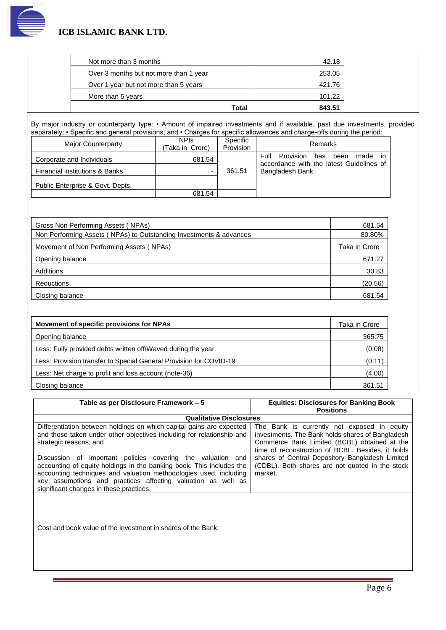

| Total                                  | 843.51 |
|----------------------------------------|--------|
| More than 5 years                      | 101.22 |
| Over 1 year but not more than 5 years  | 421.76 |
| Over 3 months but not more than 1 year | 253.05 |
| Not more than 3 months                 | 42.18  |

By major industry or counterparty type: • Amount of impaired investments and if available, past due investments, provided separately; • Specific and general provisions; and • Charges for specific allowances and charge-offs during the period:

| Major Counterparty               | <b>NPIS</b><br>(Taka in Crore) | Specific<br>Provision | Remarks                                                                                            |
|----------------------------------|--------------------------------|-----------------------|----------------------------------------------------------------------------------------------------|
| Corporate and Individuals        | 681.54                         |                       | Provision<br><b>Full</b><br>has<br>been<br>made<br>-in<br>accordance with the latest Guidelines of |
| Financial institutions & Banks   | -                              | 361.51                | Bangladesh Bank                                                                                    |
| Public Enterprise & Govt. Depts. |                                |                       |                                                                                                    |
|                                  | 681.54                         |                       |                                                                                                    |

| Gross Non Performing Assets (NPAs)                                 | 681.54        |
|--------------------------------------------------------------------|---------------|
| Non Performing Assets (NPAs) to Outstanding Investments & advances | 80.80%        |
| Movement of Non Performing Assets (NPAs)                           | Taka in Crore |
| Opening balance                                                    | 671.27        |
| Additions                                                          | 30.83         |
| Reductions                                                         | (20.56)       |
| Closing balance                                                    | 681.54        |

| Movement of specific provisions for NPAs                           | Taka in Crore |
|--------------------------------------------------------------------|---------------|
| Opening balance                                                    | 365.75        |
| Less: Fully provided debts written off/Waved during the year       | (0.08)        |
| Less: Provision transfer to Special General Provision for COVID-19 | (0.11)        |
| Less: Net charge to profit and loss account (note-36)              | (4.00)        |
| Closing balance                                                    | 361.51        |

| Table as per Disclosure Framework – 5                                                                                                                                                                                                                                                                                                                                                                                                                                                          | <b>Equities: Disclosures for Banking Book</b>                                                                                                                                                                                                                                                                         |
|------------------------------------------------------------------------------------------------------------------------------------------------------------------------------------------------------------------------------------------------------------------------------------------------------------------------------------------------------------------------------------------------------------------------------------------------------------------------------------------------|-----------------------------------------------------------------------------------------------------------------------------------------------------------------------------------------------------------------------------------------------------------------------------------------------------------------------|
|                                                                                                                                                                                                                                                                                                                                                                                                                                                                                                | <b>Positions</b>                                                                                                                                                                                                                                                                                                      |
| <b>Qualitative Disclosures</b>                                                                                                                                                                                                                                                                                                                                                                                                                                                                 |                                                                                                                                                                                                                                                                                                                       |
| Differentiation between holdings on which capital gains are expected<br>and those taken under other objectives including for relationship and<br>strategic reasons; and<br>Discussion of important policies covering the valuation and<br>accounting of equity holdings in the banking book. This includes the<br>accounting techniques and valuation methodologies used, including<br>key assumptions and practices affecting valuation as well as<br>significant changes in these practices. | The Bank is currently not exposed in equity<br>investments. The Bank holds shares of Bangladesh<br>Commerce Bank Limited (BCBL) obtained at the<br>time of reconstruction of BCBL. Besides, it holds<br>shares of Central Depository Bangladesh Limited<br>(CDBL). Both shares are not quoted in the stock<br>market. |

Cost and book value of the investment in shares of the Bank: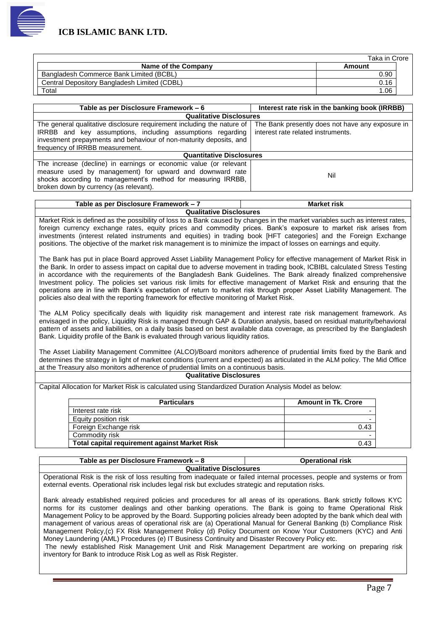

|                                              | Taka in Crore |  |
|----------------------------------------------|---------------|--|
| Name of the Company                          | Amount        |  |
| Bangladesh Commerce Bank Limited (BCBL)      | 0.90          |  |
| Central Depository Bangladesh Limited (CDBL) | 0.16          |  |
| Total                                        | 06.،          |  |

| Table as per Disclosure Framework – 6                                                                                                                                                                                                         | Interest rate risk in the banking book (IRRBB)                                         |  |  |  |
|-----------------------------------------------------------------------------------------------------------------------------------------------------------------------------------------------------------------------------------------------|----------------------------------------------------------------------------------------|--|--|--|
| <b>Qualitative Disclosures</b>                                                                                                                                                                                                                |                                                                                        |  |  |  |
| The general qualitative disclosure requirement including the nature of<br>IRRBB and key assumptions, including assumptions regarding<br>investment prepayments and behaviour of non-maturity deposits, and<br>frequency of IRRBB measurement. | The Bank presently does not have any exposure in<br>interest rate related instruments. |  |  |  |
| <b>Quantitative Disclosures</b>                                                                                                                                                                                                               |                                                                                        |  |  |  |
| The increase (decline) in earnings or economic value (or relevant<br>measure used by management) for upward and downward rate<br>shocks according to management's method for measuring IRRBB,<br>broken down by currency (as relevant).       | Nil                                                                                    |  |  |  |

| Table as per Disclosure Framework – $\lambda$ | <b>Market risk</b> |  |  |
|-----------------------------------------------|--------------------|--|--|
| <b>Qualitative Disclosures</b>                |                    |  |  |

Market Risk is defined as the possibility of loss to a Bank caused by changes in the market variables such as interest rates, foreign currency exchange rates, equity prices and commodity prices. Bank's exposure to market risk arises from investments (interest related instruments and equities) in trading book [HFT categories] and the Foreign Exchange positions. The objective of the market risk management is to minimize the impact of losses on earnings and equity.

The Bank has put in place Board approved Asset Liability Management Policy for effective management of Market Risk in the Bank. In order to assess impact on capital due to adverse movement in trading book, ICBIBL calculated Stress Testing in accordance with the requirements of the Bangladesh Bank Guidelines. The Bank already finalized comprehensive Investment policy. The policies set various risk limits for effective management of Market Risk and ensuring that the operations are in line with Bank's expectation of return to market risk through proper Asset Liability Management. The policies also deal with the reporting framework for effective monitoring of Market Risk.

The ALM Policy specifically deals with liquidity risk management and interest rate risk management framework. As envisaged in the policy, Liquidity Risk is managed through GAP & Duration analysis, based on residual maturity/behavioral pattern of assets and liabilities, on a daily basis based on best available data coverage, as prescribed by the Bangladesh Bank. Liquidity profile of the Bank is evaluated through various liquidity ratios.

The Asset Liability Management Committee (ALCO)/Board monitors adherence of prudential limits fixed by the Bank and determines the strategy in light of market conditions (current and expected) as articulated in the ALM policy. The Mid Office at the Treasury also monitors adherence of prudential limits on a continuous basis.

#### **Qualitative Disclosures**

Capital Allocation for Market Risk is calculated using Standardized Duration Analysis Model as below:

| <b>Particulars</b>                                   | <b>Amount in Tk. Crore</b> |
|------------------------------------------------------|----------------------------|
| Interest rate risk                                   |                            |
| Equity position risk                                 |                            |
| Foreign Exchange risk                                | 0.43                       |
| Commodity risk                                       |                            |
| <b>Total capital requirement against Market Risk</b> | 0.43                       |

| Table as per Disclosure Framework – 8 | <b>Operational risk</b> |  |  |  |
|---------------------------------------|-------------------------|--|--|--|
| <b>Oualitative Disclosures</b>        |                         |  |  |  |

**Qualitative Disclosures**

Operational Risk is the risk of loss resulting from inadequate or failed internal processes, people and systems or from external events. Operational risk includes legal risk but excludes strategic and reputation risks.

Bank already established required policies and procedures for all areas of its operations. Bank strictly follows KYC norms for its customer dealings and other banking operations. The Bank is going to frame Operational Risk Management Policy to be approved by the Board. Supporting policies already been adopted by the bank which deal with management of various areas of operational risk are (a) Operational Manual for General Banking (b) Compliance Risk Management Policy,(c) FX Risk Management Policy (d) Policy Document on Know Your Customers (KYC) and Anti Money Laundering (AML) Procedures (e) IT Business Continuity and Disaster Recovery Policy etc.

The newly established Risk Management Unit and Risk Management Department are working on preparing risk inventory for Bank to introduce Risk Log as well as Risk Register.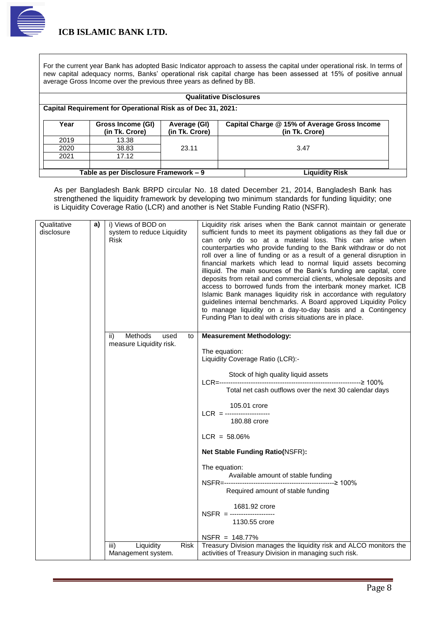

For the current year Bank has adopted Basic Indicator approach to assess the capital under operational risk. In terms of new capital adequacy norms, Banks' operational risk capital charge has been assessed at 15% of positive annual average Gross Income over the previous three years as defined by BB.

| <b>Qualitative Disclosures</b>                               |                                                                |                                |                                                                |  |
|--------------------------------------------------------------|----------------------------------------------------------------|--------------------------------|----------------------------------------------------------------|--|
| Capital Requirement for Operational Risk as of Dec 31, 2021: |                                                                |                                |                                                                |  |
| Year                                                         | Gross Income (GI)<br>(in Tk. Crore)                            | Average (GI)<br>(in Tk. Crore) | Capital Charge @ 15% of Average Gross Income<br>(in Tk. Crore) |  |
| 2019                                                         | 13.38                                                          |                                |                                                                |  |
| 2020                                                         | 38.83                                                          | 23.11                          | 3.47                                                           |  |
| 2021                                                         | 17.12                                                          |                                |                                                                |  |
|                                                              |                                                                |                                |                                                                |  |
|                                                              | Table as per Disclosure Framework - 9<br><b>Liquidity Risk</b> |                                |                                                                |  |

As per Bangladesh Bank BRPD circular No. 18 dated December 21, 2014, Bangladesh Bank has strengthened the liquidity framework by developing two minimum standards for funding liquidity; one is Liquidity Coverage Ratio (LCR) and another is Net Stable Funding Ratio (NSFR).

| Qualitative<br>disclosure | a) | i) Views of BOD on<br>system to reduce Liquidity<br>Risk | Liquidity risk arises when the Bank cannot maintain or generate<br>sufficient funds to meet its payment obligations as they fall due or<br>can only do so at a material loss. This can arise when<br>counterparties who provide funding to the Bank withdraw or do not<br>roll over a line of funding or as a result of a general disruption in<br>financial markets which lead to normal liquid assets becoming<br>illiquid. The main sources of the Bank's funding are capital, core<br>deposits from retail and commercial clients, wholesale deposits and<br>access to borrowed funds from the interbank money market. ICB<br>Islamic Bank manages liquidity risk in accordance with regulatory<br>guidelines internal benchmarks. A Board approved Liquidity Policy<br>to manage liquidity on a day-to-day basis and a Contingency<br>Funding Plan to deal with crisis situations are in place. |
|---------------------------|----|----------------------------------------------------------|------------------------------------------------------------------------------------------------------------------------------------------------------------------------------------------------------------------------------------------------------------------------------------------------------------------------------------------------------------------------------------------------------------------------------------------------------------------------------------------------------------------------------------------------------------------------------------------------------------------------------------------------------------------------------------------------------------------------------------------------------------------------------------------------------------------------------------------------------------------------------------------------------|
|                           |    | Methods<br>ii)<br>used<br>to<br>measure Liquidity risk.  | <b>Measurement Methodology:</b>                                                                                                                                                                                                                                                                                                                                                                                                                                                                                                                                                                                                                                                                                                                                                                                                                                                                      |
|                           |    |                                                          | The equation:<br>Liquidity Coverage Ratio (LCR):-                                                                                                                                                                                                                                                                                                                                                                                                                                                                                                                                                                                                                                                                                                                                                                                                                                                    |
|                           |    |                                                          | Stock of high quality liquid assets                                                                                                                                                                                                                                                                                                                                                                                                                                                                                                                                                                                                                                                                                                                                                                                                                                                                  |
|                           |    |                                                          | Total net cash outflows over the next 30 calendar days                                                                                                                                                                                                                                                                                                                                                                                                                                                                                                                                                                                                                                                                                                                                                                                                                                               |
|                           |    |                                                          | 105.01 crore                                                                                                                                                                                                                                                                                                                                                                                                                                                                                                                                                                                                                                                                                                                                                                                                                                                                                         |
|                           |    |                                                          | 180.88 crore                                                                                                                                                                                                                                                                                                                                                                                                                                                                                                                                                                                                                                                                                                                                                                                                                                                                                         |
|                           |    |                                                          | $LCR = 58.06\%$                                                                                                                                                                                                                                                                                                                                                                                                                                                                                                                                                                                                                                                                                                                                                                                                                                                                                      |
|                           |    |                                                          | <b>Net Stable Funding Ratio(NSFR):</b>                                                                                                                                                                                                                                                                                                                                                                                                                                                                                                                                                                                                                                                                                                                                                                                                                                                               |
|                           |    |                                                          | The equation:                                                                                                                                                                                                                                                                                                                                                                                                                                                                                                                                                                                                                                                                                                                                                                                                                                                                                        |
|                           |    |                                                          | Available amount of stable funding                                                                                                                                                                                                                                                                                                                                                                                                                                                                                                                                                                                                                                                                                                                                                                                                                                                                   |
|                           |    |                                                          | Required amount of stable funding                                                                                                                                                                                                                                                                                                                                                                                                                                                                                                                                                                                                                                                                                                                                                                                                                                                                    |
|                           |    |                                                          | 1681.92 crore<br>$NSFR =$ -----------------                                                                                                                                                                                                                                                                                                                                                                                                                                                                                                                                                                                                                                                                                                                                                                                                                                                          |
|                           |    |                                                          | 1130.55 crore                                                                                                                                                                                                                                                                                                                                                                                                                                                                                                                                                                                                                                                                                                                                                                                                                                                                                        |
|                           |    |                                                          | $NSFR = 148.77%$<br>Treasury Division manages the liquidity risk and ALCO monitors the                                                                                                                                                                                                                                                                                                                                                                                                                                                                                                                                                                                                                                                                                                                                                                                                               |
|                           |    | Liquidity<br><b>Risk</b><br>iii)<br>Management system.   | activities of Treasury Division in managing such risk.                                                                                                                                                                                                                                                                                                                                                                                                                                                                                                                                                                                                                                                                                                                                                                                                                                               |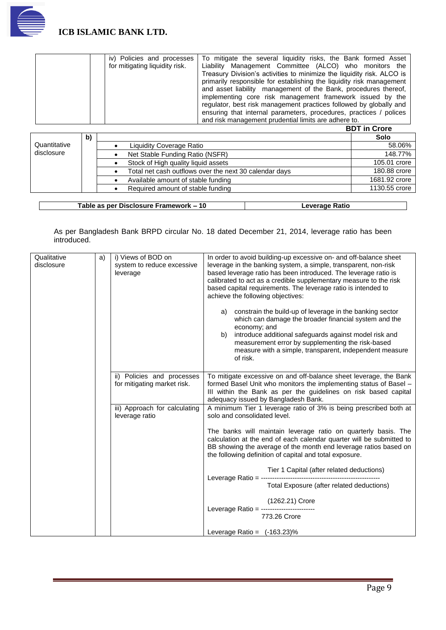

| iv) Policies and processes     | To mitigate the several liquidity risks, the Bank formed Asset         |
|--------------------------------|------------------------------------------------------------------------|
| for mitigating liquidity risk. | Liability Management Committee (ALCO) who monitors the                 |
|                                | Treasury Division's activities to minimize the liquidity risk. ALCO is |
|                                | primarily responsible for establishing the liquidity risk management   |
|                                | and asset liability management of the Bank, procedures thereof,        |
|                                | implementing core risk management framework issued by the              |
|                                | regulator, best risk management practices followed by globally and     |
|                                | ensuring that internal parameters, procedures, practices / polices     |
|                                | and risk management prudential limits are adhere to.                   |

**BDT in Crore**

| b) |                                                        | Solo          |
|----|--------------------------------------------------------|---------------|
|    | Liquidity Coverage Ratio                               | 58.06%        |
|    | Net Stable Funding Ratio (NSFR)                        | 148.77%       |
|    | Stock of High quality liquid assets                    | 105.01 crore  |
|    | Total net cash outflows over the next 30 calendar days | 180.88 crore  |
|    | Available amount of stable funding                     | 1681.92 crore |
|    | Required amount of stable funding                      | 1130.55 crore |
|    |                                                        |               |

**Table as per Disclosure Framework – 10 Leverage Ratio**

As per Bangladesh Bank BRPD circular No. 18 dated December 21, 2014, leverage ratio has been introduced.

| Qualitative<br>disclosure | a) | i) Views of BOD on<br>system to reduce excessive<br>leverage | In order to avoid building-up excessive on- and off-balance sheet<br>leverage in the banking system, a simple, transparent, non-risk<br>based leverage ratio has been introduced. The leverage ratio is<br>calibrated to act as a credible supplementary measure to the risk<br>based capital requirements. The leverage ratio is intended to<br>achieve the following objectives:<br>a) constrain the build-up of leverage in the banking sector<br>which can damage the broader financial system and the<br>economy; and<br>introduce additional safeguards against model risk and<br>b)<br>measurement error by supplementing the risk-based<br>measure with a simple, transparent, independent measure<br>of risk. |
|---------------------------|----|--------------------------------------------------------------|------------------------------------------------------------------------------------------------------------------------------------------------------------------------------------------------------------------------------------------------------------------------------------------------------------------------------------------------------------------------------------------------------------------------------------------------------------------------------------------------------------------------------------------------------------------------------------------------------------------------------------------------------------------------------------------------------------------------|
|                           |    | ii) Policies and processes<br>for mitigating market risk.    | To mitigate excessive on and off-balance sheet leverage, the Bank<br>formed Basel Unit who monitors the implementing status of Basel -<br>III within the Bank as per the guidelines on risk based capital<br>adequacy issued by Bangladesh Bank.                                                                                                                                                                                                                                                                                                                                                                                                                                                                       |
|                           |    | iii) Approach for calculating<br>leverage ratio              | A minimum Tier 1 leverage ratio of 3% is being prescribed both at<br>solo and consolidated level.                                                                                                                                                                                                                                                                                                                                                                                                                                                                                                                                                                                                                      |
|                           |    |                                                              | The banks will maintain leverage ratio on quarterly basis. The<br>calculation at the end of each calendar quarter will be submitted to<br>BB showing the average of the month end leverage ratios based on<br>the following definition of capital and total exposure.                                                                                                                                                                                                                                                                                                                                                                                                                                                  |
|                           |    |                                                              |                                                                                                                                                                                                                                                                                                                                                                                                                                                                                                                                                                                                                                                                                                                        |
|                           |    |                                                              | Total Exposure (after related deductions)                                                                                                                                                                                                                                                                                                                                                                                                                                                                                                                                                                                                                                                                              |
|                           |    |                                                              | (1262.21) Crore<br>Leverage Ratio = --------------<br>773.26 Crore                                                                                                                                                                                                                                                                                                                                                                                                                                                                                                                                                                                                                                                     |
|                           |    |                                                              | Leverage Ratio = $(-163.23)\%$                                                                                                                                                                                                                                                                                                                                                                                                                                                                                                                                                                                                                                                                                         |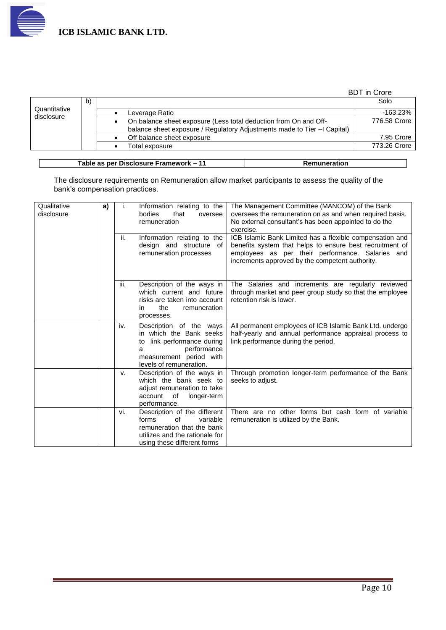

|                            |    |                                                                                                                                              | <b>BDT</b> in Crore |
|----------------------------|----|----------------------------------------------------------------------------------------------------------------------------------------------|---------------------|
|                            | b) |                                                                                                                                              | Solo                |
| Quantitative<br>disclosure |    | Leverage Ratio                                                                                                                               | -163.23%            |
|                            |    | On balance sheet exposure (Less total deduction from On and Off-<br>balance sheet exposure / Regulatory Adjustments made to Tier -I Capital) | 776.58 Crore        |
|                            |    | Off balance sheet exposure                                                                                                                   | 7.95 Crore          |
|                            |    | Total exposure                                                                                                                               | 773.26 Crore        |
|                            |    |                                                                                                                                              |                     |

**Table as per Disclosure Framework – 11 Remuneration**

The disclosure requirements on Remuneration allow market participants to assess the quality of the bank's compensation practices.

| Qualitative<br>disclosure | a) | i.<br>ii. | Information relating to the<br>bodies<br>that<br>oversee<br>remuneration<br>Information relating to the<br>design and structure of<br>remuneration processes | The Management Committee (MANCOM) of the Bank<br>oversees the remuneration on as and when required basis.<br>No external consultant's has been appointed to do the<br>exercise.<br>ICB Islamic Bank Limited has a flexible compensation and<br>benefits system that helps to ensure best recruitment of<br>employees as per their performance. Salaries and<br>increments approved by the competent authority. |
|---------------------------|----|-----------|--------------------------------------------------------------------------------------------------------------------------------------------------------------|----------------------------------------------------------------------------------------------------------------------------------------------------------------------------------------------------------------------------------------------------------------------------------------------------------------------------------------------------------------------------------------------------------------|
|                           |    | iii.      | Description of the ways in<br>which current and future<br>risks are taken into account<br>the<br>remuneration<br>in.<br>processes.                           | The Salaries and increments are regularly reviewed<br>through market and peer group study so that the employee<br>retention risk is lower.                                                                                                                                                                                                                                                                     |
|                           |    | iv.       | Description of the ways<br>in which the Bank seeks<br>to link performance during<br>performance<br>a<br>measurement period with<br>levels of remuneration.   | All permanent employees of ICB Islamic Bank Ltd. undergo<br>half-yearly and annual performance appraisal process to<br>link performance during the period.                                                                                                                                                                                                                                                     |
|                           |    | v.        | Description of the ways in<br>which the bank seek to<br>adjust remuneration to take<br>account<br>of<br>longer-term<br>performance.                          | Through promotion longer-term performance of the Bank<br>seeks to adjust.                                                                                                                                                                                                                                                                                                                                      |
|                           |    | vi.       | Description of the different<br>of<br>variable<br>forms<br>remuneration that the bank<br>utilizes and the rationale for<br>using these different forms       | There are no other forms but cash form of variable<br>remuneration is utilized by the Bank.                                                                                                                                                                                                                                                                                                                    |